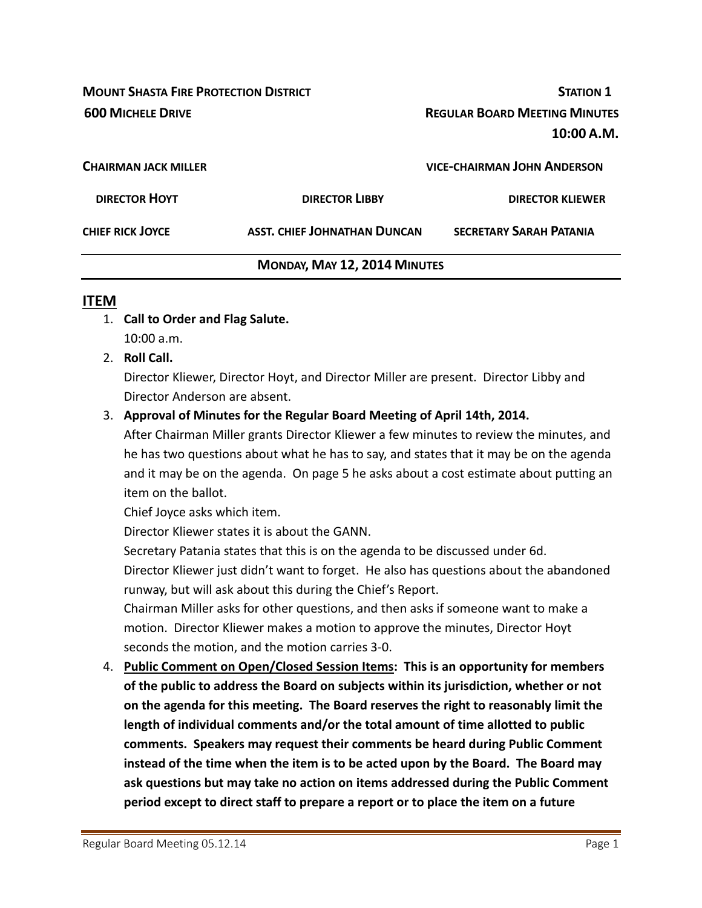**MOUNT SHASTA FIRE PROTECTION DISTRICT STATION 1 600 MICHELE DRIVE REGULAR BOARD MEETING MINUTES 10:00 A.M. CHAIRMAN JACK MILLER VICE‐CHAIRMAN JOHN ANDERSON DIRECTOR HOYT DIRECTOR LIBBY DIRECTOR KLIEWER CHIEF RICK JOYCE ASST. CHIEF JOHNATHAN DUNCAN SECRETARY SARAH PATANIA**

# **MONDAY, MAY 12, 2014 MINUTES**

#### **ITEM**

- 1. **Call to Order and Flag Salute.** 10:00 a.m.
- 2. **Roll Call.**

Director Kliewer, Director Hoyt, and Director Miller are present. Director Libby and Director Anderson are absent.

### 3. **Approval of Minutes for the Regular Board Meeting of April 14th, 2014.**

After Chairman Miller grants Director Kliewer a few minutes to review the minutes, and he has two questions about what he has to say, and states that it may be on the agenda and it may be on the agenda. On page 5 he asks about a cost estimate about putting an item on the ballot.

Chief Joyce asks which item.

Director Kliewer states it is about the GANN.

Secretary Patania states that this is on the agenda to be discussed under 6d. Director Kliewer just didn't want to forget. He also has questions about the abandoned runway, but will ask about this during the Chief's Report.

Chairman Miller asks for other questions, and then asks if someone want to make a motion. Director Kliewer makes a motion to approve the minutes, Director Hoyt seconds the motion, and the motion carries 3‐0.

4. **Public Comment on Open/Closed Session Items: This is an opportunity for members of the public to address the Board on subjects within its jurisdiction, whether or not on the agenda for this meeting. The Board reserves the right to reasonably limit the length of individual comments and/or the total amount of time allotted to public comments. Speakers may request their comments be heard during Public Comment instead of the time when the item is to be acted upon by the Board. The Board may ask questions but may take no action on items addressed during the Public Comment period except to direct staff to prepare a report or to place the item on a future**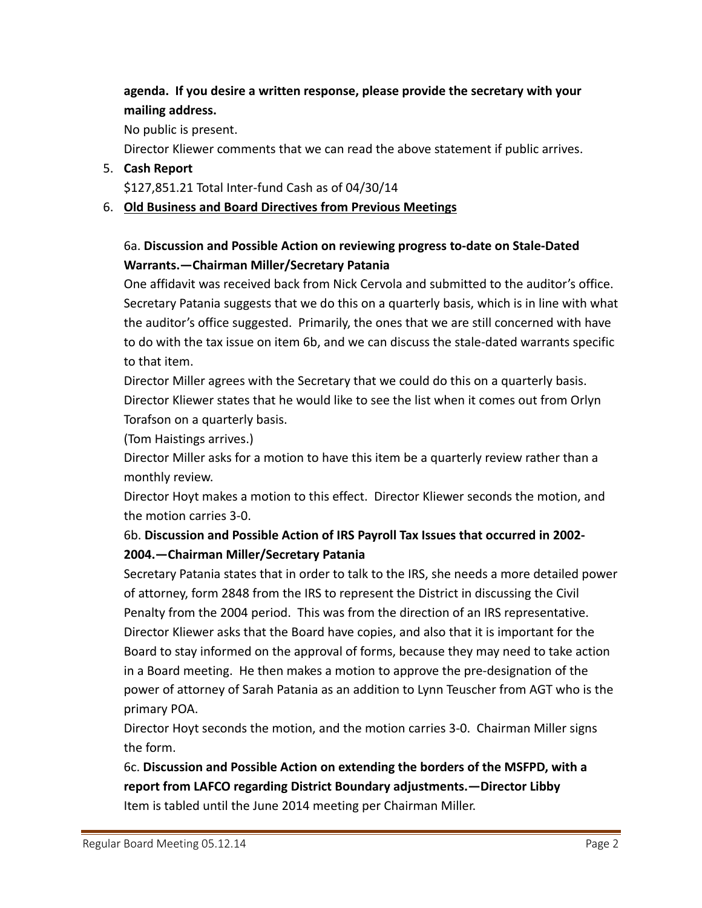# **agenda. If you desire a written response, please provide the secretary with your mailing address.**

No public is present.

Director Kliewer comments that we can read the above statement if public arrives.

#### 5. **Cash Report**

\$127,851.21 Total Inter‐fund Cash as of 04/30/14

### 6. **Old Business and Board Directives from Previous Meetings**

### 6a. **Discussion and Possible Action on reviewing progress to‐date on Stale‐Dated Warrants.—Chairman Miller/Secretary Patania**

One affidavit was received back from Nick Cervola and submitted to the auditor's office. Secretary Patania suggests that we do this on a quarterly basis, which is in line with what the auditor's office suggested. Primarily, the ones that we are still concerned with have to do with the tax issue on item 6b, and we can discuss the stale‐dated warrants specific to that item.

Director Miller agrees with the Secretary that we could do this on a quarterly basis. Director Kliewer states that he would like to see the list when it comes out from Orlyn Torafson on a quarterly basis.

(Tom Haistings arrives.)

Director Miller asks for a motion to have this item be a quarterly review rather than a monthly review.

Director Hoyt makes a motion to this effect. Director Kliewer seconds the motion, and the motion carries 3‐0.

# 6b. **Discussion and Possible Action of IRS Payroll Tax Issues that occurred in 2002‐ 2004.—Chairman Miller/Secretary Patania**

Secretary Patania states that in order to talk to the IRS, she needs a more detailed power of attorney, form 2848 from the IRS to represent the District in discussing the Civil Penalty from the 2004 period. This was from the direction of an IRS representative. Director Kliewer asks that the Board have copies, and also that it is important for the Board to stay informed on the approval of forms, because they may need to take action in a Board meeting. He then makes a motion to approve the pre‐designation of the power of attorney of Sarah Patania as an addition to Lynn Teuscher from AGT who is the primary POA.

Director Hoyt seconds the motion, and the motion carries 3‐0. Chairman Miller signs the form.

6c. **Discussion and Possible Action on extending the borders of the MSFPD, with a report from LAFCO regarding District Boundary adjustments.—Director Libby** Item is tabled until the June 2014 meeting per Chairman Miller.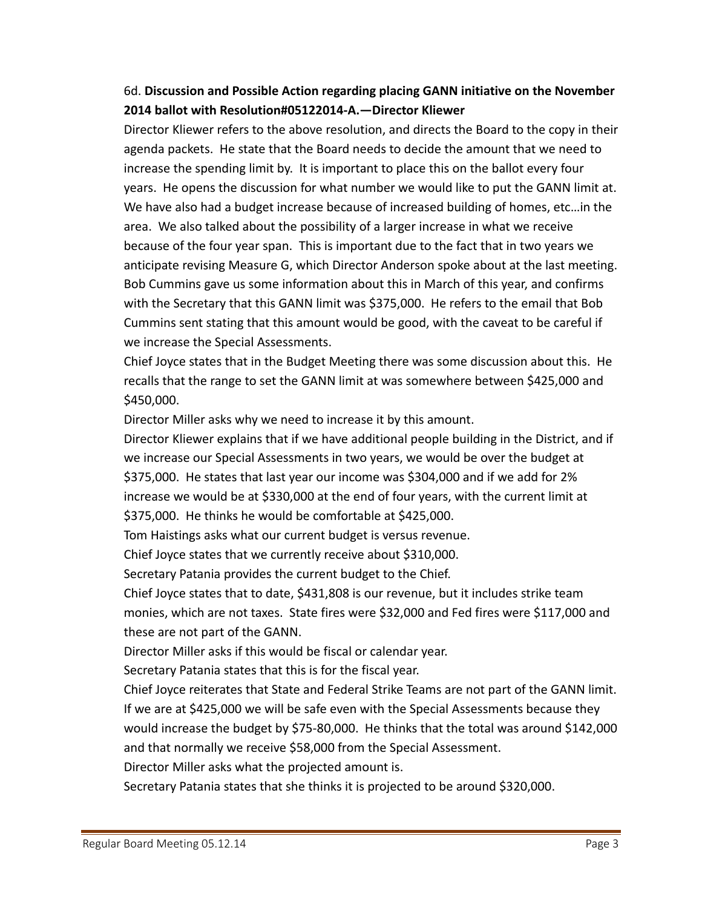### 6d. **Discussion and Possible Action regarding placing GANN initiative on the November 2014 ballot with Resolution#05122014‐A.—Director Kliewer**

Director Kliewer refers to the above resolution, and directs the Board to the copy in their agenda packets. He state that the Board needs to decide the amount that we need to increase the spending limit by. It is important to place this on the ballot every four years. He opens the discussion for what number we would like to put the GANN limit at. We have also had a budget increase because of increased building of homes, etc…in the area. We also talked about the possibility of a larger increase in what we receive because of the four year span. This is important due to the fact that in two years we anticipate revising Measure G, which Director Anderson spoke about at the last meeting. Bob Cummins gave us some information about this in March of this year, and confirms with the Secretary that this GANN limit was \$375,000. He refers to the email that Bob Cummins sent stating that this amount would be good, with the caveat to be careful if we increase the Special Assessments.

Chief Joyce states that in the Budget Meeting there was some discussion about this. He recalls that the range to set the GANN limit at was somewhere between \$425,000 and \$450,000.

Director Miller asks why we need to increase it by this amount.

Director Kliewer explains that if we have additional people building in the District, and if we increase our Special Assessments in two years, we would be over the budget at \$375,000. He states that last year our income was \$304,000 and if we add for 2% increase we would be at \$330,000 at the end of four years, with the current limit at \$375,000. He thinks he would be comfortable at \$425,000.

Tom Haistings asks what our current budget is versus revenue.

Chief Joyce states that we currently receive about \$310,000.

Secretary Patania provides the current budget to the Chief.

Chief Joyce states that to date, \$431,808 is our revenue, but it includes strike team monies, which are not taxes. State fires were \$32,000 and Fed fires were \$117,000 and these are not part of the GANN.

Director Miller asks if this would be fiscal or calendar year.

Secretary Patania states that this is for the fiscal year.

Chief Joyce reiterates that State and Federal Strike Teams are not part of the GANN limit. If we are at \$425,000 we will be safe even with the Special Assessments because they would increase the budget by \$75‐80,000. He thinks that the total was around \$142,000 and that normally we receive \$58,000 from the Special Assessment.

Director Miller asks what the projected amount is.

Secretary Patania states that she thinks it is projected to be around \$320,000.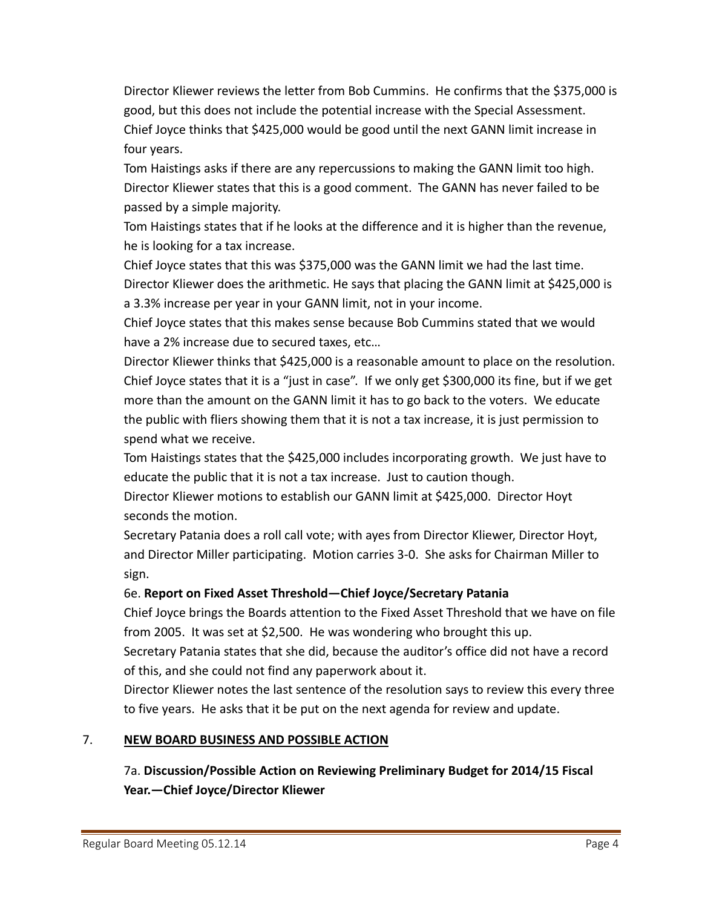Director Kliewer reviews the letter from Bob Cummins. He confirms that the \$375,000 is good, but this does not include the potential increase with the Special Assessment. Chief Joyce thinks that \$425,000 would be good until the next GANN limit increase in four years.

Tom Haistings asks if there are any repercussions to making the GANN limit too high. Director Kliewer states that this is a good comment. The GANN has never failed to be passed by a simple majority.

Tom Haistings states that if he looks at the difference and it is higher than the revenue, he is looking for a tax increase.

Chief Joyce states that this was \$375,000 was the GANN limit we had the last time. Director Kliewer does the arithmetic. He says that placing the GANN limit at \$425,000 is a 3.3% increase per year in your GANN limit, not in your income.

Chief Joyce states that this makes sense because Bob Cummins stated that we would have a 2% increase due to secured taxes, etc…

Director Kliewer thinks that \$425,000 is a reasonable amount to place on the resolution. Chief Joyce states that it is a "just in case". If we only get \$300,000 its fine, but if we get more than the amount on the GANN limit it has to go back to the voters. We educate the public with fliers showing them that it is not a tax increase, it is just permission to spend what we receive.

Tom Haistings states that the \$425,000 includes incorporating growth. We just have to educate the public that it is not a tax increase. Just to caution though.

Director Kliewer motions to establish our GANN limit at \$425,000. Director Hoyt seconds the motion.

Secretary Patania does a roll call vote; with ayes from Director Kliewer, Director Hoyt, and Director Miller participating. Motion carries 3‐0. She asks for Chairman Miller to sign.

### 6e. **Report on Fixed Asset Threshold—Chief Joyce/Secretary Patania**

Chief Joyce brings the Boards attention to the Fixed Asset Threshold that we have on file from 2005. It was set at \$2,500. He was wondering who brought this up.

Secretary Patania states that she did, because the auditor's office did not have a record of this, and she could not find any paperwork about it.

Director Kliewer notes the last sentence of the resolution says to review this every three to five years. He asks that it be put on the next agenda for review and update.

### 7. **NEW BOARD BUSINESS AND POSSIBLE ACTION**

7a. **Discussion/Possible Action on Reviewing Preliminary Budget for 2014/15 Fiscal Year.—Chief Joyce/Director Kliewer**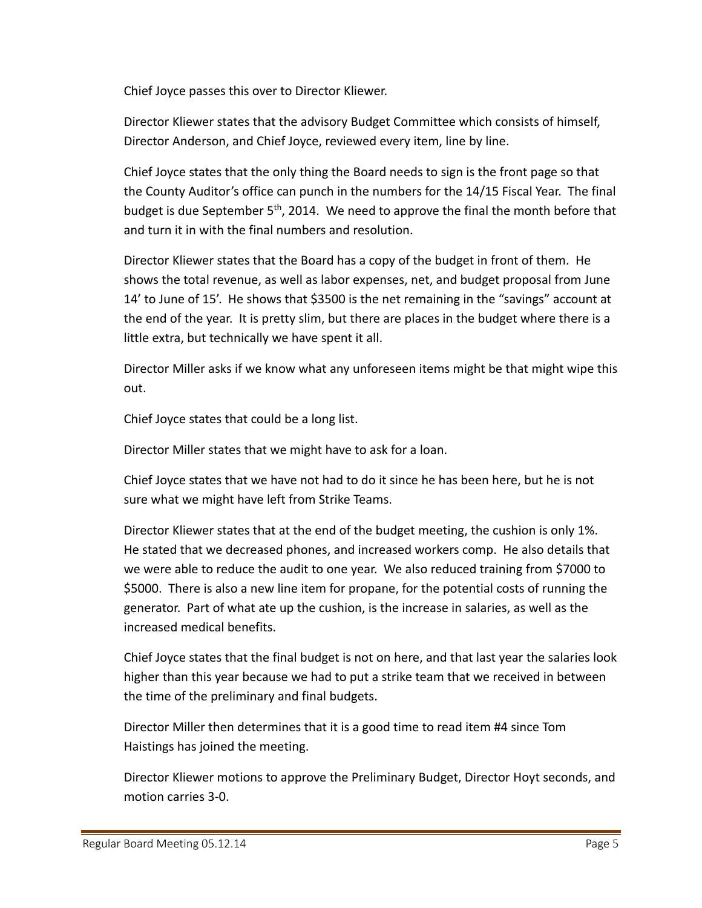Chief Joyce passes this over to Director Kliewer.

Director Kliewer states that the advisory Budget Committee which consists of himself, Director Anderson, and Chief Joyce, reviewed every item, line by line.

Chief Joyce states that the only thing the Board needs to sign is the front page so that the County Auditor's office can punch in the numbers for the 14/15 Fiscal Year. The final budget is due September  $5<sup>th</sup>$ , 2014. We need to approve the final the month before that and turn it in with the final numbers and resolution.

Director Kliewer states that the Board has a copy of the budget in front of them. He shows the total revenue, as well as labor expenses, net, and budget proposal from June 14' to June of 15'. He shows that \$3500 is the net remaining in the "savings" account at the end of the year. It is pretty slim, but there are places in the budget where there is a little extra, but technically we have spent it all.

Director Miller asks if we know what any unforeseen items might be that might wipe this out.

Chief Joyce states that could be a long list.

Director Miller states that we might have to ask for a loan.

Chief Joyce states that we have not had to do it since he has been here, but he is not sure what we might have left from Strike Teams.

Director Kliewer states that at the end of the budget meeting, the cushion is only 1%. He stated that we decreased phones, and increased workers comp. He also details that we were able to reduce the audit to one year. We also reduced training from \$7000 to \$5000. There is also a new line item for propane, for the potential costs of running the generator. Part of what ate up the cushion, is the increase in salaries, as well as the increased medical benefits.

Chief Joyce states that the final budget is not on here, and that last year the salaries look higher than this year because we had to put a strike team that we received in between the time of the preliminary and final budgets.

Director Miller then determines that it is a good time to read item #4 since Tom Haistings has joined the meeting.

Director Kliewer motions to approve the Preliminary Budget, Director Hoyt seconds, and motion carries 3‐0.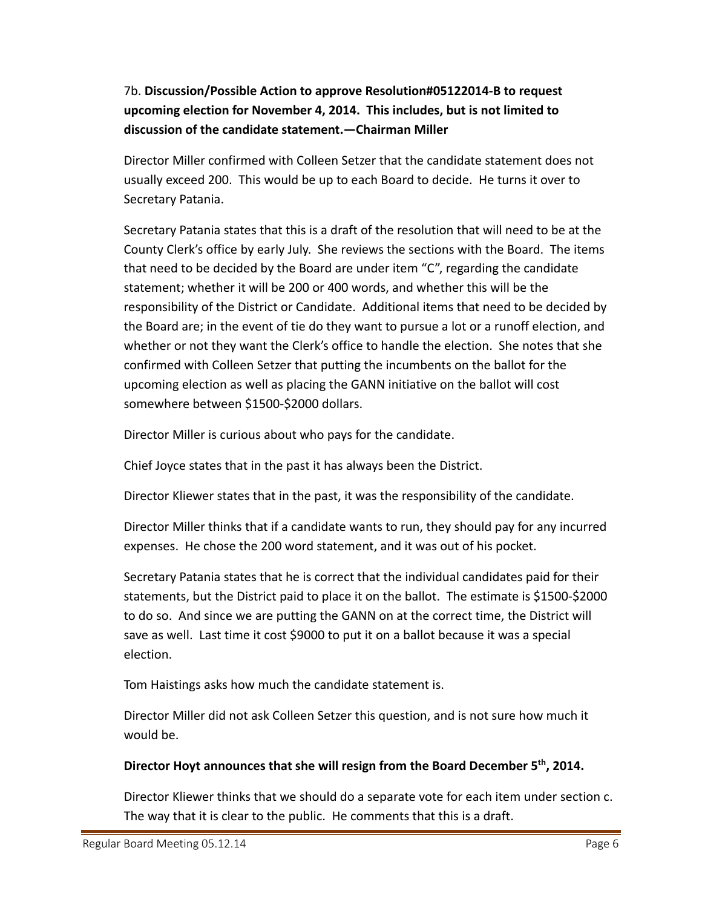# 7b. **Discussion/Possible Action to approve Resolution#05122014‐B to request upcoming election for November 4, 2014. This includes, but is not limited to discussion of the candidate statement.—Chairman Miller**

Director Miller confirmed with Colleen Setzer that the candidate statement does not usually exceed 200. This would be up to each Board to decide. He turns it over to Secretary Patania.

Secretary Patania states that this is a draft of the resolution that will need to be at the County Clerk's office by early July. She reviews the sections with the Board. The items that need to be decided by the Board are under item "C", regarding the candidate statement; whether it will be 200 or 400 words, and whether this will be the responsibility of the District or Candidate. Additional items that need to be decided by the Board are; in the event of tie do they want to pursue a lot or a runoff election, and whether or not they want the Clerk's office to handle the election. She notes that she confirmed with Colleen Setzer that putting the incumbents on the ballot for the upcoming election as well as placing the GANN initiative on the ballot will cost somewhere between \$1500‐\$2000 dollars.

Director Miller is curious about who pays for the candidate.

Chief Joyce states that in the past it has always been the District.

Director Kliewer states that in the past, it was the responsibility of the candidate.

Director Miller thinks that if a candidate wants to run, they should pay for any incurred expenses. He chose the 200 word statement, and it was out of his pocket.

Secretary Patania states that he is correct that the individual candidates paid for their statements, but the District paid to place it on the ballot. The estimate is \$1500‐\$2000 to do so. And since we are putting the GANN on at the correct time, the District will save as well. Last time it cost \$9000 to put it on a ballot because it was a special election.

Tom Haistings asks how much the candidate statement is.

Director Miller did not ask Colleen Setzer this question, and is not sure how much it would be.

### **Director Hoyt announces that she will resign from the Board December 5th, 2014.**

Director Kliewer thinks that we should do a separate vote for each item under section c. The way that it is clear to the public. He comments that this is a draft.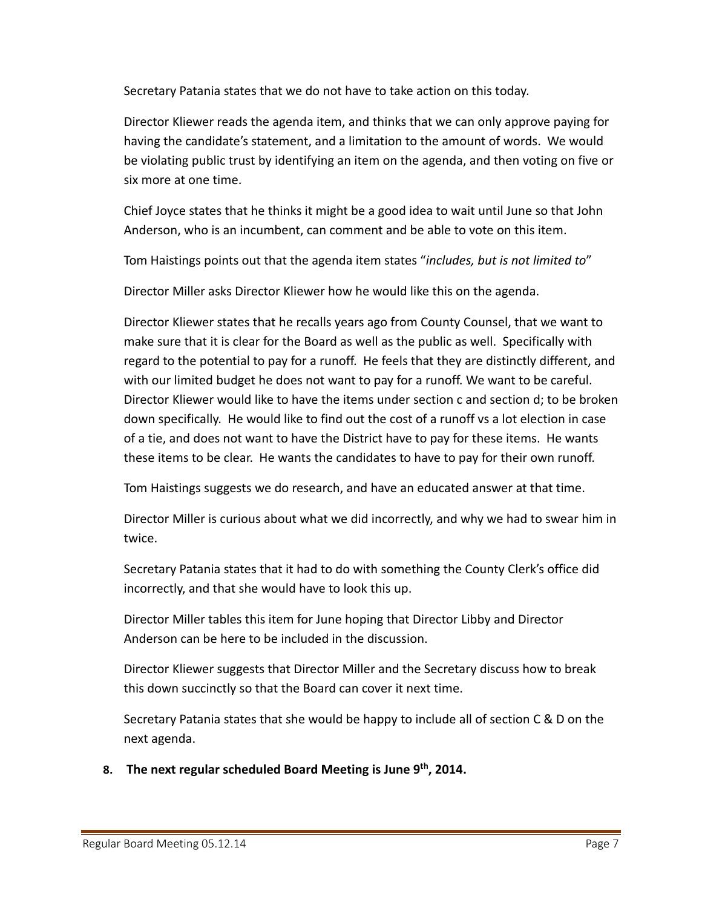Secretary Patania states that we do not have to take action on this today.

Director Kliewer reads the agenda item, and thinks that we can only approve paying for having the candidate's statement, and a limitation to the amount of words. We would be violating public trust by identifying an item on the agenda, and then voting on five or six more at one time.

Chief Joyce states that he thinks it might be a good idea to wait until June so that John Anderson, who is an incumbent, can comment and be able to vote on this item.

Tom Haistings points out that the agenda item states "*includes, but is not limited to*"

Director Miller asks Director Kliewer how he would like this on the agenda.

Director Kliewer states that he recalls years ago from County Counsel, that we want to make sure that it is clear for the Board as well as the public as well. Specifically with regard to the potential to pay for a runoff. He feels that they are distinctly different, and with our limited budget he does not want to pay for a runoff. We want to be careful. Director Kliewer would like to have the items under section c and section d; to be broken down specifically. He would like to find out the cost of a runoff vs a lot election in case of a tie, and does not want to have the District have to pay for these items. He wants these items to be clear. He wants the candidates to have to pay for their own runoff.

Tom Haistings suggests we do research, and have an educated answer at that time.

Director Miller is curious about what we did incorrectly, and why we had to swear him in twice.

Secretary Patania states that it had to do with something the County Clerk's office did incorrectly, and that she would have to look this up.

Director Miller tables this item for June hoping that Director Libby and Director Anderson can be here to be included in the discussion.

Director Kliewer suggests that Director Miller and the Secretary discuss how to break this down succinctly so that the Board can cover it next time.

Secretary Patania states that she would be happy to include all of section C & D on the next agenda.

**8. The next regular scheduled Board Meeting is June 9th, 2014.**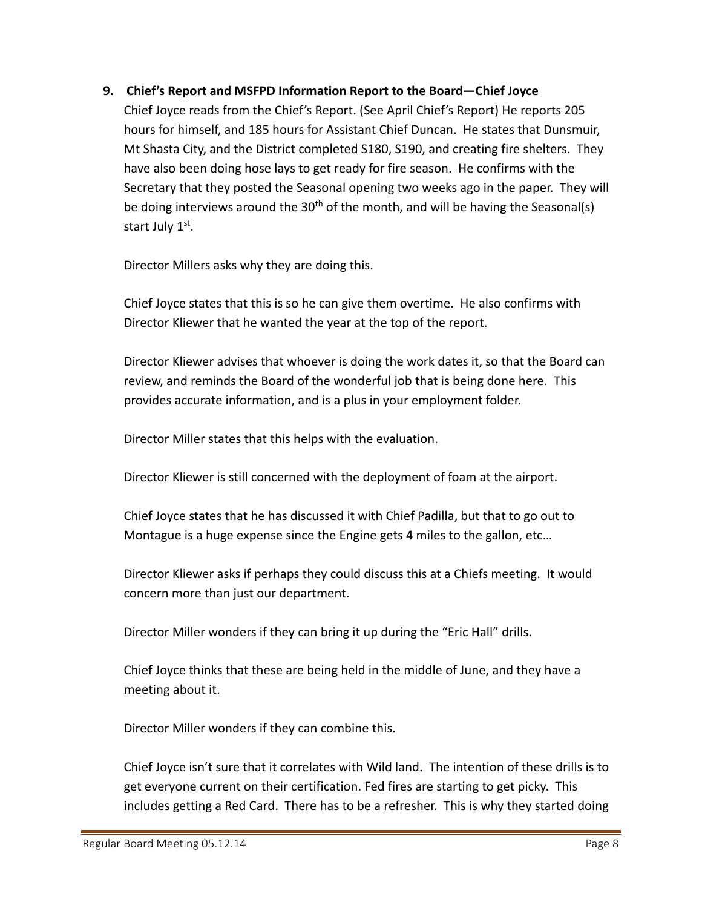### **9. Chief's Report and MSFPD Information Report to the Board—Chief Joyce**

Chief Joyce reads from the Chief's Report. (See April Chief's Report) He reports 205 hours for himself, and 185 hours for Assistant Chief Duncan. He states that Dunsmuir, Mt Shasta City, and the District completed S180, S190, and creating fire shelters. They have also been doing hose lays to get ready for fire season. He confirms with the Secretary that they posted the Seasonal opening two weeks ago in the paper. They will be doing interviews around the  $30<sup>th</sup>$  of the month, and will be having the Seasonal(s) start July 1st.

Director Millers asks why they are doing this.

Chief Joyce states that this is so he can give them overtime. He also confirms with Director Kliewer that he wanted the year at the top of the report.

Director Kliewer advises that whoever is doing the work dates it, so that the Board can review, and reminds the Board of the wonderful job that is being done here. This provides accurate information, and is a plus in your employment folder.

Director Miller states that this helps with the evaluation.

Director Kliewer is still concerned with the deployment of foam at the airport.

Chief Joyce states that he has discussed it with Chief Padilla, but that to go out to Montague is a huge expense since the Engine gets 4 miles to the gallon, etc…

Director Kliewer asks if perhaps they could discuss this at a Chiefs meeting. It would concern more than just our department.

Director Miller wonders if they can bring it up during the "Eric Hall" drills.

Chief Joyce thinks that these are being held in the middle of June, and they have a meeting about it.

Director Miller wonders if they can combine this.

Chief Joyce isn't sure that it correlates with Wild land. The intention of these drills is to get everyone current on their certification. Fed fires are starting to get picky. This includes getting a Red Card. There has to be a refresher. This is why they started doing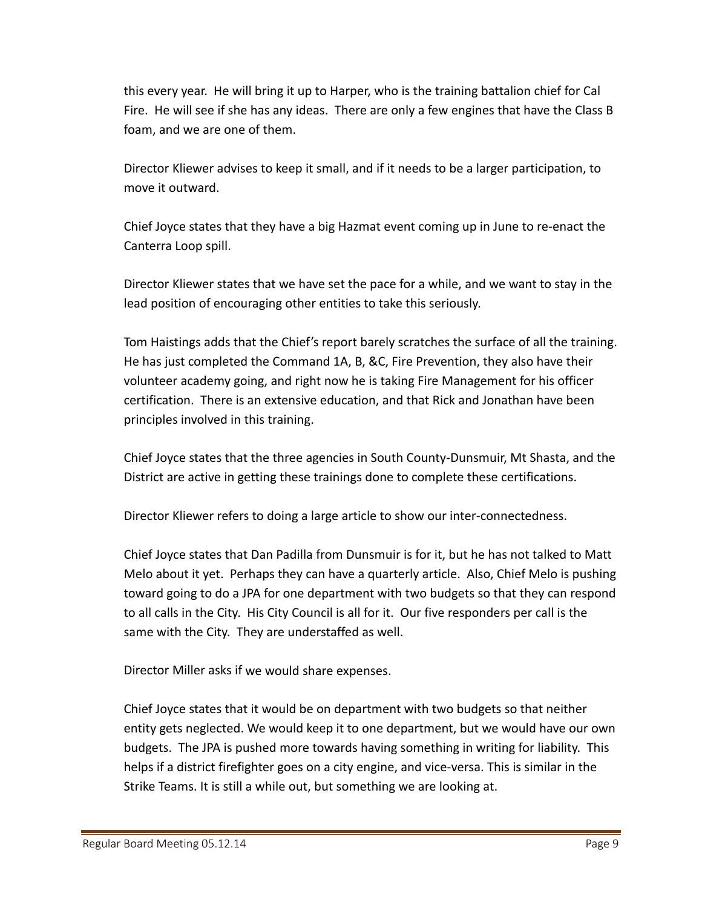this every year. He will bring it up to Harper, who is the training battalion chief for Cal Fire. He will see if she has any ideas. There are only a few engines that have the Class B foam, and we are one of them.

Director Kliewer advises to keep it small, and if it needs to be a larger participation, to move it outward.

Chief Joyce states that they have a big Hazmat event coming up in June to re‐enact the Canterra Loop spill.

Director Kliewer states that we have set the pace for a while, and we want to stay in the lead position of encouraging other entities to take this seriously.

Tom Haistings adds that the Chief's report barely scratches the surface of all the training. He has just completed the Command 1A, B, &C, Fire Prevention, they also have their volunteer academy going, and right now he is taking Fire Management for his officer certification. There is an extensive education, and that Rick and Jonathan have been principles involved in this training.

Chief Joyce states that the three agencies in South County‐Dunsmuir, Mt Shasta, and the District are active in getting these trainings done to complete these certifications.

Director Kliewer refers to doing a large article to show our inter‐connectedness.

Chief Joyce states that Dan Padilla from Dunsmuir is for it, but he has not talked to Matt Melo about it yet. Perhaps they can have a quarterly article. Also, Chief Melo is pushing toward going to do a JPA for one department with two budgets so that they can respond to all calls in the City. His City Council is all for it. Our five responders per call is the same with the City. They are understaffed as well.

Director Miller asks if we would share expenses.

Chief Joyce states that it would be on department with two budgets so that neither entity gets neglected. We would keep it to one department, but we would have our own budgets. The JPA is pushed more towards having something in writing for liability. This helps if a district firefighter goes on a city engine, and vice-versa. This is similar in the Strike Teams. It is still a while out, but something we are looking at.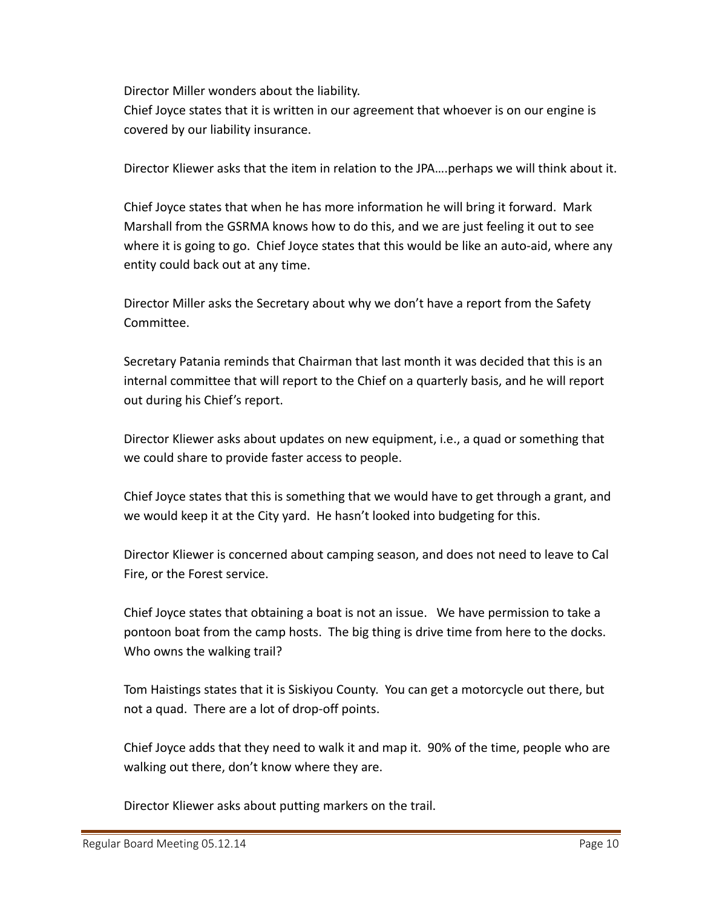Director Miller wonders about the liability.

Chief Joyce states that it is written in our agreement that whoever is on our engine is covered by our liability insurance.

Director Kliewer asks that the item in relation to the JPA….perhaps we will think about it.

Chief Joyce states that when he has more information he will bring it forward. Mark Marshall from the GSRMA knows how to do this, and we are just feeling it out to see where it is going to go. Chief Joyce states that this would be like an auto-aid, where any entity could back out at any time.

Director Miller asks the Secretary about why we don't have a report from the Safety Committee.

Secretary Patania reminds that Chairman that last month it was decided that this is an internal committee that will report to the Chief on a quarterly basis, and he will report out during his Chief's report.

Director Kliewer asks about updates on new equipment, i.e., a quad or something that we could share to provide faster access to people.

Chief Joyce states that this is something that we would have to get through a grant, and we would keep it at the City yard. He hasn't looked into budgeting for this.

Director Kliewer is concerned about camping season, and does not need to leave to Cal Fire, or the Forest service.

Chief Joyce states that obtaining a boat is not an issue. We have permission to take a pontoon boat from the camp hosts. The big thing is drive time from here to the docks. Who owns the walking trail?

Tom Haistings states that it is Siskiyou County. You can get a motorcycle out there, but not a quad. There are a lot of drop‐off points.

Chief Joyce adds that they need to walk it and map it. 90% of the time, people who are walking out there, don't know where they are.

Director Kliewer asks about putting markers on the trail.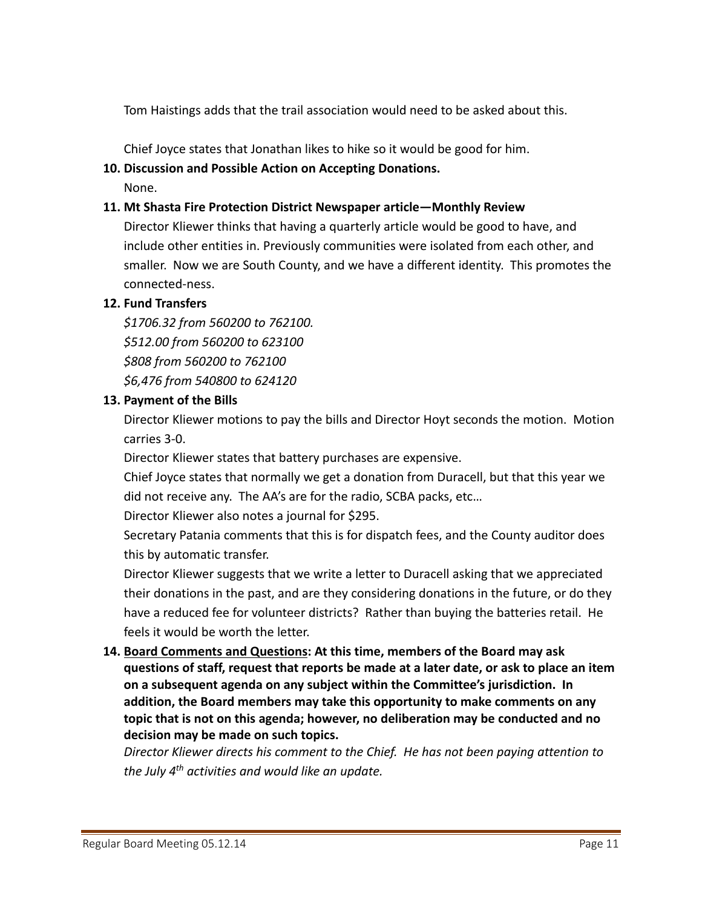Tom Haistings adds that the trail association would need to be asked about this.

Chief Joyce states that Jonathan likes to hike so it would be good for him.

#### **10. Discussion and Possible Action on Accepting Donations.**

None.

#### **11. Mt Shasta Fire Protection District Newspaper article—Monthly Review**

Director Kliewer thinks that having a quarterly article would be good to have, and include other entities in. Previously communities were isolated from each other, and smaller. Now we are South County, and we have a different identity. This promotes the connected‐ness.

### **12. Fund Transfers**

*\$1706.32 from 560200 to 762100. \$512.00 from 560200 to 623100 \$808 from 560200 to 762100 \$6,476 from 540800 to 624120*

#### **13. Payment of the Bills**

Director Kliewer motions to pay the bills and Director Hoyt seconds the motion. Motion carries 3‐0.

Director Kliewer states that battery purchases are expensive.

Chief Joyce states that normally we get a donation from Duracell, but that this year we did not receive any. The AA's are for the radio, SCBA packs, etc…

Director Kliewer also notes a journal for \$295.

Secretary Patania comments that this is for dispatch fees, and the County auditor does this by automatic transfer.

Director Kliewer suggests that we write a letter to Duracell asking that we appreciated their donations in the past, and are they considering donations in the future, or do they have a reduced fee for volunteer districts? Rather than buying the batteries retail. He feels it would be worth the letter.

### **14. Board Comments and Questions: At this time, members of the Board may ask questions of staff, request that reports be made at a later date, or ask to place an item on a subsequent agenda on any subject within the Committee's jurisdiction. In addition, the Board members may take this opportunity to make comments on any topic that is not on this agenda; however, no deliberation may be conducted and no decision may be made on such topics.**

*Director Kliewer directs his comment to the Chief. He has not been paying attention to the July 4th activities and would like an update.*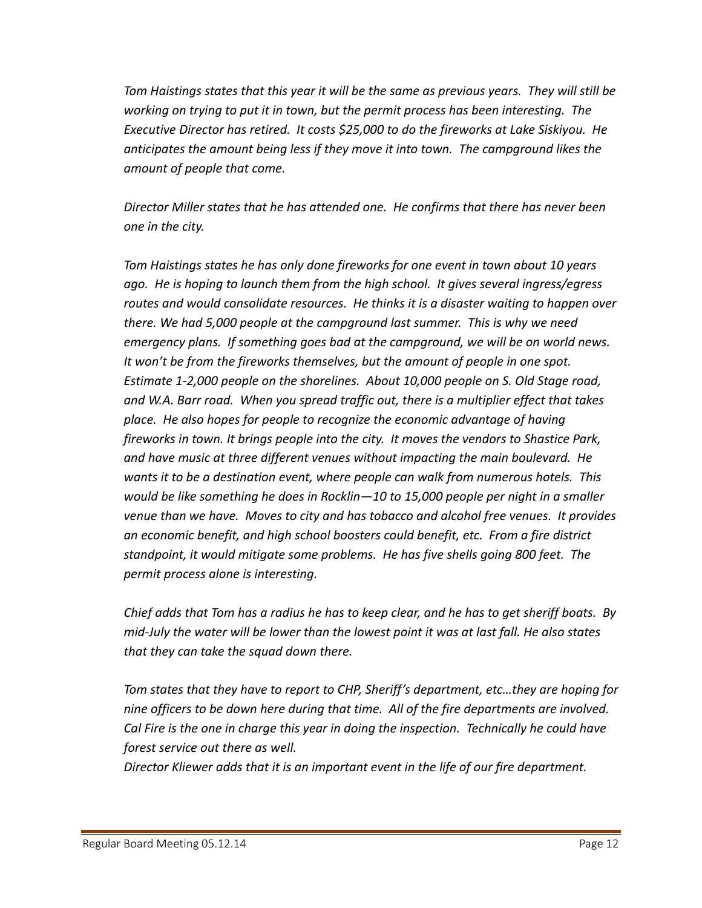Tom Haistings states that this year it will be the same as previous years. They will still be *working on trying to put it in town, but the permit process has been interesting. The Executive Director has retired. It costs \$25,000 to do the fireworks at Lake Siskiyou. He anticipates the amount being less if they move it into town. The campground likes the amount of people that come.*

*Director Miller states that he has attended one. He confirms that there has never been one in the city.*

*Tom Haistings states he has only done fireworks for one event in town about 10 years ago. He is hoping to launch them from the high school. It gives several ingress/egress routes and would consolidate resources. He thinks it is a disaster waiting to happen over there. We had 5,000 people at the campground last summer. This is why we need emergency plans. If something goes bad at the campground, we will be on world news. It won't be from the fireworks themselves, but the amount of people in one spot. Estimate 1‐2,000 people on the shorelines. About 10,000 people on S. Old Stage road, and W.A. Barr road. When you spread traffic out, there is a multiplier effect that takes place. He also hopes for people to recognize the economic advantage of having fireworks in town. It brings people into the city. It moves the vendors to Shastice Park, and have music at three different venues without impacting the main boulevard. He wants it to be a destination event, where people can walk from numerous hotels. This would be like something he does in Rocklin—10 to 15,000 people per night in a smaller venue than we have. Moves to city and has tobacco and alcohol free venues. It provides an economic benefit, and high school boosters could benefit, etc. From a fire district standpoint, it would mitigate some problems. He has five shells going 800 feet. The permit process alone is interesting.*

Chief adds that Tom has a radius he has to keep clear, and he has to get sheriff boats. By mid-July the water will be lower than the lowest point it was at last fall. He also states *that they can take the squad down there.*

*Tom states that they have to report to CHP, Sheriff's department, etc…they are hoping for nine officers to be down here during that time. All of the fire departments are involved. Cal Fire is the one in charge this year in doing the inspection. Technically he could have forest service out there as well.* 

*Director Kliewer adds that it is an important event in the life of our fire department.*